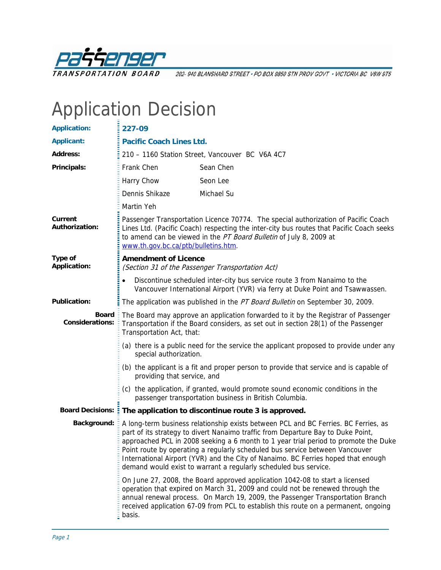

202-940 BLANSHARD STREET · PO BOX 9850 STN PROV GOVT · VICTORIA BC V8W 9T5

## Application Decision

| <b>Application:</b>                    | 227-09                                                                                                                                                                                                                                                                                      |                                                                                                                                                                                                                                                                                                                                                                                                                                                                                                         |  |
|----------------------------------------|---------------------------------------------------------------------------------------------------------------------------------------------------------------------------------------------------------------------------------------------------------------------------------------------|---------------------------------------------------------------------------------------------------------------------------------------------------------------------------------------------------------------------------------------------------------------------------------------------------------------------------------------------------------------------------------------------------------------------------------------------------------------------------------------------------------|--|
| <b>Applicant:</b>                      | <b>Pacific Coach Lines Ltd.</b>                                                                                                                                                                                                                                                             |                                                                                                                                                                                                                                                                                                                                                                                                                                                                                                         |  |
| <b>Address:</b>                        | 210 - 1160 Station Street, Vancouver BC V6A 4C7                                                                                                                                                                                                                                             |                                                                                                                                                                                                                                                                                                                                                                                                                                                                                                         |  |
| Principals:                            | Frank Chen                                                                                                                                                                                                                                                                                  | Sean Chen                                                                                                                                                                                                                                                                                                                                                                                                                                                                                               |  |
|                                        | Harry Chow                                                                                                                                                                                                                                                                                  | Seon Lee                                                                                                                                                                                                                                                                                                                                                                                                                                                                                                |  |
|                                        | Dennis Shikaze                                                                                                                                                                                                                                                                              | Michael Su                                                                                                                                                                                                                                                                                                                                                                                                                                                                                              |  |
|                                        | Martin Yeh                                                                                                                                                                                                                                                                                  |                                                                                                                                                                                                                                                                                                                                                                                                                                                                                                         |  |
| Current<br><b>Authorization:</b>       | Passenger Transportation Licence 70774. The special authorization of Pacific Coach<br>Lines Ltd. (Pacific Coach) respecting the inter-city bus routes that Pacific Coach seeks<br>to amend can be viewed in the PT Board Bulletin of July 8, 2009 at<br>www.th.gov.bc.ca/ptb/bulletins.htm. |                                                                                                                                                                                                                                                                                                                                                                                                                                                                                                         |  |
| Type of<br><b>Application:</b>         | <b>Amendment of Licence</b><br>(Section 31 of the Passenger Transportation Act)                                                                                                                                                                                                             |                                                                                                                                                                                                                                                                                                                                                                                                                                                                                                         |  |
|                                        |                                                                                                                                                                                                                                                                                             | Discontinue scheduled inter-city bus service route 3 from Nanaimo to the<br>Vancouver International Airport (YVR) via ferry at Duke Point and Tsawwassen.                                                                                                                                                                                                                                                                                                                                               |  |
| <b>Publication:</b>                    | The application was published in the PT Board Bulletin on September 30, 2009.                                                                                                                                                                                                               |                                                                                                                                                                                                                                                                                                                                                                                                                                                                                                         |  |
| <b>Board</b><br><b>Considerations:</b> | Transportation Act, that:                                                                                                                                                                                                                                                                   | The Board may approve an application forwarded to it by the Registrar of Passenger<br>Transportation if the Board considers, as set out in section 28(1) of the Passenger                                                                                                                                                                                                                                                                                                                               |  |
|                                        | (a) there is a public need for the service the applicant proposed to provide under any<br>special authorization.                                                                                                                                                                            |                                                                                                                                                                                                                                                                                                                                                                                                                                                                                                         |  |
|                                        | providing that service, and                                                                                                                                                                                                                                                                 | (b) the applicant is a fit and proper person to provide that service and is capable of                                                                                                                                                                                                                                                                                                                                                                                                                  |  |
|                                        |                                                                                                                                                                                                                                                                                             | (c) the application, if granted, would promote sound economic conditions in the<br>passenger transportation business in British Columbia.                                                                                                                                                                                                                                                                                                                                                               |  |
|                                        |                                                                                                                                                                                                                                                                                             | Board Decisions: : The application to discontinue route 3 is approved.                                                                                                                                                                                                                                                                                                                                                                                                                                  |  |
| <b>Background:</b>                     |                                                                                                                                                                                                                                                                                             | A long-term business relationship exists between PCL and BC Ferries. BC Ferries, as<br>part of its strategy to divert Nanaimo traffic from Departure Bay to Duke Point,<br>approached PCL in 2008 seeking a 6 month to 1 year trial period to promote the Duke<br>Point route by operating a regularly scheduled bus service between Vancouver<br>International Airport (YVR) and the City of Nanaimo. BC Ferries hoped that enough<br>demand would exist to warrant a regularly scheduled bus service. |  |
|                                        | basis.                                                                                                                                                                                                                                                                                      | On June 27, 2008, the Board approved application 1042-08 to start a licensed<br>operation that expired on March 31, 2009 and could not be renewed through the<br>annual renewal process. On March 19, 2009, the Passenger Transportation Branch<br>received application 67-09 from PCL to establish this route on a permanent, ongoing                                                                                                                                                                  |  |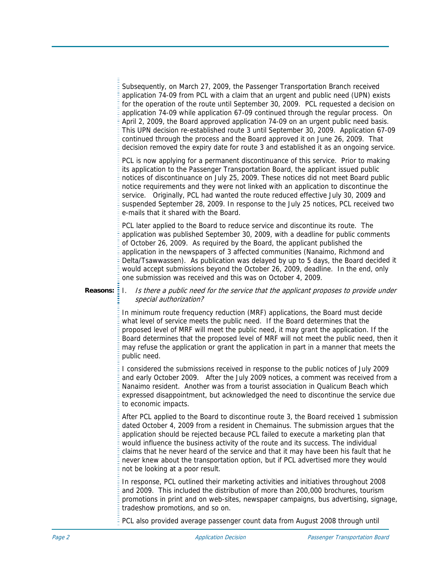Subsequently, on March 27, 2009, the Passenger Transportation Branch received application 74-09 from PCL with a claim that an urgent and public need (UPN) exists for the operation of the route until September 30, 2009. PCL requested a decision on application 74-09 while application 67-09 continued through the regular process. On April 2, 2009, the Board approved application 74-09 on an urgent public need basis. This UPN decision re-established route 3 until September 30, 2009. Application 67-09 continued through the process and the Board approved it on June 26, 2009. That decision removed the expiry date for route 3 and established it as an ongoing service.

PCL is now applying for a permanent discontinuance of this service. Prior to making its application to the Passenger Transportation Board, the applicant issued public notices of discontinuance on July 25, 2009. These notic es did not meet Board public notice requirements and they were not linked with an application to discontinue the service. Originally, PCL had wanted the route reduced effective July 30, 2009 and suspended September 28, 2009. In response to the July 25 notices, PCL received two e-mails that it shared with the Board.

PCL later applied to the Board to reduce service and discontinue its route. The application was published September 30, 2009, with a deadline for public comments application in the newspapers of 3 affected communities (Nanaimo, Richmond and Delta/Tsawwassen). As publication was delayed by up to 5 days, the Board decided it would accept submissions beyond the October 26, 2009, deadline. In the end, only of October 26, 2009. As required by the Board, the applicant published the one submission was received and this was on October 4, 2009.

## **Reasons:** I. Is there a public need for the service that the applicant proposes to provide under special authorization?

In minimum route frequency reduction (MRF) applications, the Board must decide what level of service meets the public need. If the Board determines that the proposed level of MRF will meet the public need, it may grant the application. If the Board determines that the proposed level of MRF will not meet the public need, then it may refuse the application or grant the application in part in a manner that meets the public need.

I considered the submissions received in response to the public notices of July 2009 and early October 2009. After the July 2009 notices, a comment was received from a Nanaimo resident. Another was from a tourist association in Qualicum Beach which expressed disappointment, but acknowledged the need to discontinue the service due to economic impacts.

After PCL applied to the Board to discontinue route 3, the Board received 1 submission dated October 4, 2009 from a resident in Chemainus. The submission argues that the application should be rejected because PCL failed to execute a marketing plan that would influence the business activity of the route and its success. The individual claims that he never heard of the service and that it may have been his fault that he never knew about the transportation option, but if PCL advertised more they would not be looking at a poor result.

In response, PCL outlined their marketing activities and initiatives throughout 2008 and 2009. This included the distribution of more than 200,000 brochures, tourism promotions in print and on web-sites, newspaper campaigns, bus advertising, signage, tradeshow promotions, and so on.

PCL also provided average passenger count data from August 2008 through until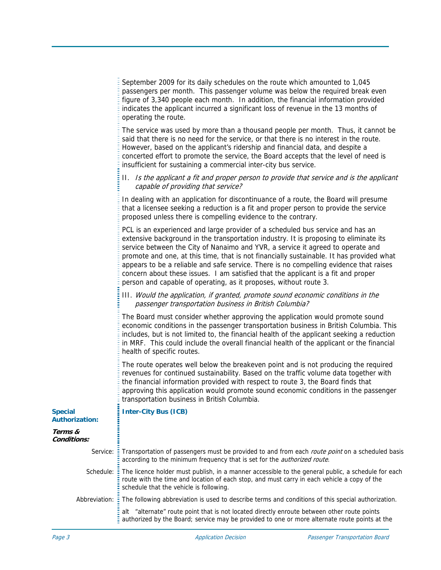|                                         | September 2009 for its daily schedules on the route which amounted to 1,045<br>passengers per month. This passenger volume was below the required break even<br>figure of 3,340 people each month. In addition, the financial information provided<br>indicates the applicant incurred a significant loss of revenue in the 13 months of<br>operating the route.                                                                                                                                                                                                                                           |
|-----------------------------------------|------------------------------------------------------------------------------------------------------------------------------------------------------------------------------------------------------------------------------------------------------------------------------------------------------------------------------------------------------------------------------------------------------------------------------------------------------------------------------------------------------------------------------------------------------------------------------------------------------------|
|                                         | The service was used by more than a thousand people per month. Thus, it cannot be<br>said that there is no need for the service, or that there is no interest in the route.<br>However, based on the applicant's ridership and financial data, and despite a<br>concerted effort to promote the service, the Board accepts that the level of need is<br>insufficient for sustaining a commercial inter-city bus service.                                                                                                                                                                                   |
|                                         | II. Is the applicant a fit and proper person to provide that service and is the applicant<br>capable of providing that service?                                                                                                                                                                                                                                                                                                                                                                                                                                                                            |
|                                         | In dealing with an application for discontinuance of a route, the Board will presume<br>that a licensee seeking a reduction is a fit and proper person to provide the service<br>proposed unless there is compelling evidence to the contrary.                                                                                                                                                                                                                                                                                                                                                             |
|                                         | PCL is an experienced and large provider of a scheduled bus service and has an<br>extensive background in the transportation industry. It is proposing to eliminate its<br>service between the City of Nanaimo and YVR, a service it agreed to operate and<br>promote and one, at this time, that is not financially sustainable. It has provided what<br>appears to be a reliable and safe service. There is no compelling evidence that raises<br>concern about these issues. I am satisfied that the applicant is a fit and proper<br>person and capable of operating, as it proposes, without route 3. |
|                                         | III. Would the application, if granted, promote sound economic conditions in the<br>passenger transportation business in British Columbia?                                                                                                                                                                                                                                                                                                                                                                                                                                                                 |
|                                         | The Board must consider whether approving the application would promote sound<br>economic conditions in the passenger transportation business in British Columbia. This<br>includes, but is not limited to, the financial health of the applicant seeking a reduction<br>in MRF. This could include the overall financial health of the applicant or the financial<br>health of specific routes.                                                                                                                                                                                                           |
|                                         | The route operates well below the breakeven point and is not producing the required<br>revenues for continued sustainability. Based on the traffic volume data together with<br>the financial information provided with respect to route 3, the Board finds that<br>approving this application would promote sound economic conditions in the passenger<br>transportation business in British Columbia.                                                                                                                                                                                                    |
| <b>Special</b><br><b>Authorization:</b> | <b>Inter-City Bus (ICB)</b>                                                                                                                                                                                                                                                                                                                                                                                                                                                                                                                                                                                |
| Terms &<br>Conditions:                  |                                                                                                                                                                                                                                                                                                                                                                                                                                                                                                                                                                                                            |
| Service:                                | Transportation of passengers must be provided to and from each <i>route point</i> on a scheduled basis<br>according to the minimum frequency that is set for the <i>authorized route</i> .                                                                                                                                                                                                                                                                                                                                                                                                                 |
| Schedule:                               | The licence holder must publish, in a manner accessible to the general public, a schedule for each<br>route with the time and location of each stop, and must carry in each vehicle a copy of the<br>schedule that the vehicle is following.                                                                                                                                                                                                                                                                                                                                                               |
| Abbreviation:                           | The following abbreviation is used to describe terms and conditions of this special authorization.                                                                                                                                                                                                                                                                                                                                                                                                                                                                                                         |
|                                         | alt "alternate" route point that is not located directly enroute between other route points<br>authorized by the Board; service may be provided to one or more alternate route points at the                                                                                                                                                                                                                                                                                                                                                                                                               |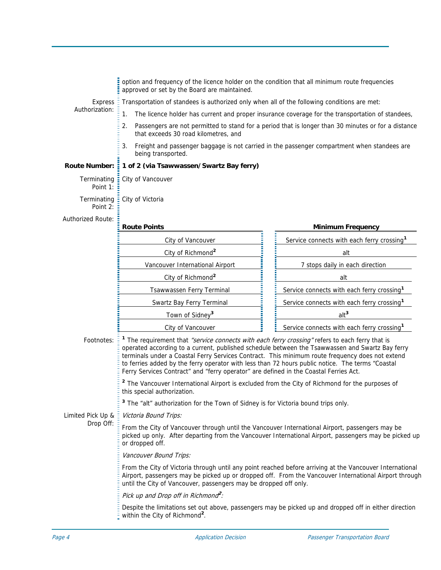|                                | option and frequency of the licence holder on the condition that all minimum route frequencies<br>approved or set by the Board are maintained.                                                                                                                                                                                                                                                                                                                                                                       |  |                                                        |  |  |  |
|--------------------------------|----------------------------------------------------------------------------------------------------------------------------------------------------------------------------------------------------------------------------------------------------------------------------------------------------------------------------------------------------------------------------------------------------------------------------------------------------------------------------------------------------------------------|--|--------------------------------------------------------|--|--|--|
| <b>Express</b>                 | Transportation of standees is authorized only when all of the following conditions are met:                                                                                                                                                                                                                                                                                                                                                                                                                          |  |                                                        |  |  |  |
| Authorization:                 | 1.<br>The licence holder has current and proper insurance coverage for the transportation of standees,                                                                                                                                                                                                                                                                                                                                                                                                               |  |                                                        |  |  |  |
|                                | Passengers are not permitted to stand for a period that is longer than 30 minutes or for a distance<br>2.<br>that exceeds 30 road kilometres, and                                                                                                                                                                                                                                                                                                                                                                    |  |                                                        |  |  |  |
|                                | 3.<br>Freight and passenger baggage is not carried in the passenger compartment when standees are<br>being transported.                                                                                                                                                                                                                                                                                                                                                                                              |  |                                                        |  |  |  |
|                                | Route Number: 1 of 2 (via Tsawwassen/Swartz Bay ferry)                                                                                                                                                                                                                                                                                                                                                                                                                                                               |  |                                                        |  |  |  |
| Terminating<br>Point 1:        | City of Vancouver                                                                                                                                                                                                                                                                                                                                                                                                                                                                                                    |  |                                                        |  |  |  |
| Terminating<br>Point 2:        | City of Victoria                                                                                                                                                                                                                                                                                                                                                                                                                                                                                                     |  |                                                        |  |  |  |
| Authorized Route:              | <b>Route Points</b>                                                                                                                                                                                                                                                                                                                                                                                                                                                                                                  |  | <b>Minimum Frequency</b>                               |  |  |  |
|                                | City of Vancouver                                                                                                                                                                                                                                                                                                                                                                                                                                                                                                    |  | Service connects with each ferry crossing <sup>1</sup> |  |  |  |
|                                | City of Richmond <sup>2</sup>                                                                                                                                                                                                                                                                                                                                                                                                                                                                                        |  | alt                                                    |  |  |  |
|                                | Vancouver International Airport                                                                                                                                                                                                                                                                                                                                                                                                                                                                                      |  | 7 stops daily in each direction                        |  |  |  |
|                                | City of Richmond <sup>2</sup>                                                                                                                                                                                                                                                                                                                                                                                                                                                                                        |  | alt                                                    |  |  |  |
|                                | Tsawwassen Ferry Terminal                                                                                                                                                                                                                                                                                                                                                                                                                                                                                            |  | Service connects with each ferry crossing <sup>1</sup> |  |  |  |
|                                | Swartz Bay Ferry Terminal                                                                                                                                                                                                                                                                                                                                                                                                                                                                                            |  | Service connects with each ferry crossing <sup>1</sup> |  |  |  |
|                                | Town of Sidney <sup>3</sup>                                                                                                                                                                                                                                                                                                                                                                                                                                                                                          |  | alt <sup>3</sup>                                       |  |  |  |
|                                | City of Vancouver                                                                                                                                                                                                                                                                                                                                                                                                                                                                                                    |  | Service connects with each ferry crossing <sup>1</sup> |  |  |  |
| Footnotes:                     | <sup>1</sup> The requirement that <i>"service connects with each ferry crossing"</i> refers to each ferry that is<br>operated according to a current, published schedule between the Tsawwassen and Swartz Bay ferry<br>terminals under a Coastal Ferry Services Contract. This minimum route frequency does not extend<br>to ferries added by the ferry operator with less than 72 hours public notice. The terms "Coastal<br>Ferry Services Contract" and "ferry operator" are defined in the Coastal Ferries Act. |  |                                                        |  |  |  |
|                                | <sup>2</sup> The Vancouver International Airport is excluded from the City of Richmond for the purposes of<br>this special authorization.                                                                                                                                                                                                                                                                                                                                                                            |  |                                                        |  |  |  |
|                                | <sup>3</sup> The "alt" authorization for the Town of Sidney is for Victoria bound trips only.                                                                                                                                                                                                                                                                                                                                                                                                                        |  |                                                        |  |  |  |
| Limited Pick Up &<br>Drop Off: | Victoria Bound Trips:                                                                                                                                                                                                                                                                                                                                                                                                                                                                                                |  |                                                        |  |  |  |
|                                | From the City of Vancouver through until the Vancouver International Airport, passengers may be<br>picked up only. After departing from the Vancouver International Airport, passengers may be picked up<br>or dropped off.                                                                                                                                                                                                                                                                                          |  |                                                        |  |  |  |
|                                | Vancouver Bound Trips:                                                                                                                                                                                                                                                                                                                                                                                                                                                                                               |  |                                                        |  |  |  |
|                                | From the City of Victoria through until any point reached before arriving at the Vancouver International<br>Airport, passengers may be picked up or dropped off. From the Vancouver International Airport through<br>until the City of Vancouver, passengers may be dropped off only.                                                                                                                                                                                                                                |  |                                                        |  |  |  |
|                                | Pick up and Drop off in Richmond <sup>2</sup> :                                                                                                                                                                                                                                                                                                                                                                                                                                                                      |  |                                                        |  |  |  |
|                                | Despite the limitations set out above, passengers may be picked up and dropped off in either direction<br>within the City of Richmond <sup>2</sup> .                                                                                                                                                                                                                                                                                                                                                                 |  |                                                        |  |  |  |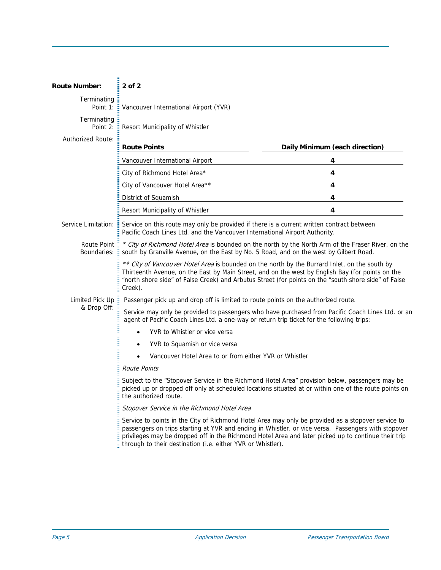| <b>Route Number:</b>              | $2$ of $2$                                                                                                                                                                                                                                                                                                                                                                      |                                |  |  |  |
|-----------------------------------|---------------------------------------------------------------------------------------------------------------------------------------------------------------------------------------------------------------------------------------------------------------------------------------------------------------------------------------------------------------------------------|--------------------------------|--|--|--|
| Terminating<br>Point 1:           | Vancouver International Airport (YVR)                                                                                                                                                                                                                                                                                                                                           |                                |  |  |  |
| Terminating<br>Point 2:           | Resort Municipality of Whistler                                                                                                                                                                                                                                                                                                                                                 |                                |  |  |  |
| <b>Authorized Route:</b>          | <b>Route Points</b>                                                                                                                                                                                                                                                                                                                                                             | Daily Minimum (each direction) |  |  |  |
|                                   | Vancouver International Airport                                                                                                                                                                                                                                                                                                                                                 | 4                              |  |  |  |
|                                   | City of Richmond Hotel Area*                                                                                                                                                                                                                                                                                                                                                    | 4                              |  |  |  |
|                                   | City of Vancouver Hotel Area**                                                                                                                                                                                                                                                                                                                                                  | 4                              |  |  |  |
|                                   | District of Squamish                                                                                                                                                                                                                                                                                                                                                            | 4                              |  |  |  |
|                                   | Resort Municipality of Whistler                                                                                                                                                                                                                                                                                                                                                 | $\overline{4}$                 |  |  |  |
| Service Limitation:               | Service on this route may only be provided if there is a current written contract between<br>Pacific Coach Lines Ltd. and the Vancouver International Airport Authority.                                                                                                                                                                                                        |                                |  |  |  |
| <b>Route Point</b><br>Boundaries: | * City of Richmond Hotel Area is bounded on the north by the North Arm of the Fraser River, on the<br>south by Granville Avenue, on the East by No. 5 Road, and on the west by Gilbert Road.                                                                                                                                                                                    |                                |  |  |  |
|                                   | ** City of Vancouver Hotel Area is bounded on the north by the Burrard Inlet, on the south by<br>Thirteenth Avenue, on the East by Main Street, and on the west by English Bay (for points on the<br>"north shore side" of False Creek) and Arbutus Street (for points on the "south shore side" of False<br>Creek).                                                            |                                |  |  |  |
| Limited Pick Up                   | Passenger pick up and drop off is limited to route points on the authorized route.                                                                                                                                                                                                                                                                                              |                                |  |  |  |
| & Drop Off:                       | Service may only be provided to passengers who have purchased from Pacific Coach Lines Ltd. or an<br>agent of Pacific Coach Lines Ltd. a one-way or return trip ticket for the following trips:                                                                                                                                                                                 |                                |  |  |  |
|                                   | YVR to Whistler or vice versa                                                                                                                                                                                                                                                                                                                                                   |                                |  |  |  |
|                                   | YVR to Squamish or vice versa                                                                                                                                                                                                                                                                                                                                                   |                                |  |  |  |
|                                   | Vancouver Hotel Area to or from either YVR or Whistler                                                                                                                                                                                                                                                                                                                          |                                |  |  |  |
|                                   | <b>Route Points</b>                                                                                                                                                                                                                                                                                                                                                             |                                |  |  |  |
|                                   | Subject to the "Stopover Service in the Richmond Hotel Area" provision below, passengers may be<br>picked up or dropped off only at scheduled locations situated at or within one of the route points on<br>the authorized route.                                                                                                                                               |                                |  |  |  |
|                                   | Stopover Service in the Richmond Hotel Area                                                                                                                                                                                                                                                                                                                                     |                                |  |  |  |
|                                   | Service to points in the City of Richmond Hotel Area may only be provided as a stopover service to<br>passengers on trips starting at YVR and ending in Whistler, or vice versa. Passengers with stopover<br>privileges may be dropped off in the Richmond Hotel Area and later picked up to continue their trip<br>through to their destination (i.e. either YVR or Whistler). |                                |  |  |  |